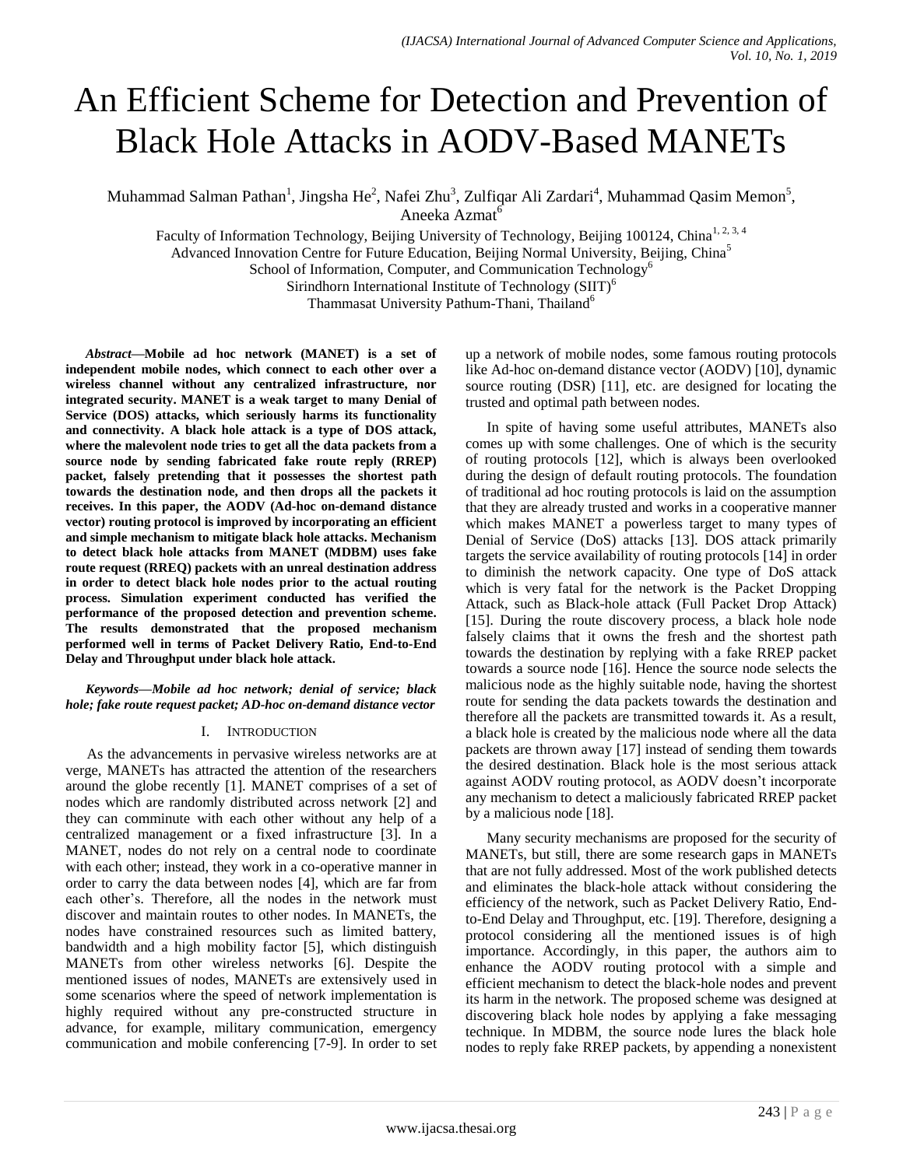# An Efficient Scheme for Detection and Prevention of Black Hole Attacks in AODV-Based MANETs

Muhammad Salman Pathan<sup>1</sup>, Jingsha He<sup>2</sup>, Nafei Zhu<sup>3</sup>, Zulfiqar Ali Zardari<sup>4</sup>, Muhammad Qasim Memon<sup>5</sup>, Aneeka Azmat<sup>6</sup>

Faculty of Information Technology, Beijing University of Technology, Beijing 100124, China<sup>1, 2, 3, 4</sup> Advanced Innovation Centre for Future Education, Beijing Normal University, Beijing, China<sup>5</sup> School of Information, Computer, and Communication Technology<sup>6</sup> Sirindhorn International Institute of Technology (SIIT)<sup>6</sup> Thammasat University Pathum-Thani, Thailand<sup>6</sup>

*Abstract—***Mobile ad hoc network (MANET) is a set of independent mobile nodes, which connect to each other over a wireless channel without any centralized infrastructure, nor integrated security. MANET is a weak target to many Denial of Service (DOS) attacks, which seriously harms its functionality and connectivity. A black hole attack is a type of DOS attack, where the malevolent node tries to get all the data packets from a source node by sending fabricated fake route reply (RREP) packet, falsely pretending that it possesses the shortest path towards the destination node, and then drops all the packets it receives. In this paper, the AODV (Ad-hoc on-demand distance vector) routing protocol is improved by incorporating an efficient and simple mechanism to mitigate black hole attacks. Mechanism to detect black hole attacks from MANET (MDBM) uses fake route request (RREQ) packets with an unreal destination address in order to detect black hole nodes prior to the actual routing process. Simulation experiment conducted has verified the performance of the proposed detection and prevention scheme. The results demonstrated that the proposed mechanism performed well in terms of Packet Delivery Ratio, End-to-End Delay and Throughput under black hole attack.**

*Keywords—Mobile ad hoc network; denial of service; black hole; fake route request packet; AD-hoc on-demand distance vector*

# I. INTRODUCTION

As the advancements in pervasive wireless networks are at verge, MANETs has attracted the attention of the researchers around the globe recently [1]. MANET comprises of a set of nodes which are randomly distributed across network [2] and they can comminute with each other without any help of a centralized management or a fixed infrastructure [3]. In a MANET, nodes do not rely on a central node to coordinate with each other; instead, they work in a co-operative manner in order to carry the data between nodes [4], which are far from each other"s. Therefore, all the nodes in the network must discover and maintain routes to other nodes. In MANETs, the nodes have constrained resources such as limited battery, bandwidth and a high mobility factor [5], which distinguish MANETs from other wireless networks [6]. Despite the mentioned issues of nodes, MANETs are extensively used in some scenarios where the speed of network implementation is highly required without any pre-constructed structure in advance, for example, military communication, emergency communication and mobile conferencing [7-9]. In order to set up a network of mobile nodes, some famous routing protocols like Ad-hoc on-demand distance vector (AODV) [10], dynamic source routing (DSR) [11], etc. are designed for locating the trusted and optimal path between nodes.

In spite of having some useful attributes, MANETs also comes up with some challenges. One of which is the security of routing protocols [12], which is always been overlooked during the design of default routing protocols. The foundation of traditional ad hoc routing protocols is laid on the assumption that they are already trusted and works in a cooperative manner which makes MANET a powerless target to many types of Denial of Service (DoS) attacks [13]. DOS attack primarily targets the service availability of routing protocols [14] in order to diminish the network capacity. One type of DoS attack which is very fatal for the network is the Packet Dropping Attack, such as Black-hole attack (Full Packet Drop Attack) [15]. During the route discovery process, a black hole node falsely claims that it owns the fresh and the shortest path towards the destination by replying with a fake RREP packet towards a source node [16]. Hence the source node selects the malicious node as the highly suitable node, having the shortest route for sending the data packets towards the destination and therefore all the packets are transmitted towards it. As a result, a black hole is created by the malicious node where all the data packets are thrown away [17] instead of sending them towards the desired destination. Black hole is the most serious attack against AODV routing protocol, as AODV doesn"t incorporate any mechanism to detect a maliciously fabricated RREP packet by a malicious node [18].

Many security mechanisms are proposed for the security of MANETs, but still, there are some research gaps in MANETs that are not fully addressed. Most of the work published detects and eliminates the black-hole attack without considering the efficiency of the network, such as Packet Delivery Ratio, Endto-End Delay and Throughput, etc. [19]. Therefore, designing a protocol considering all the mentioned issues is of high importance. Accordingly, in this paper, the authors aim to enhance the AODV routing protocol with a simple and efficient mechanism to detect the black-hole nodes and prevent its harm in the network. The proposed scheme was designed at discovering black hole nodes by applying a fake messaging technique. In MDBM, the source node lures the black hole nodes to reply fake RREP packets, by appending a nonexistent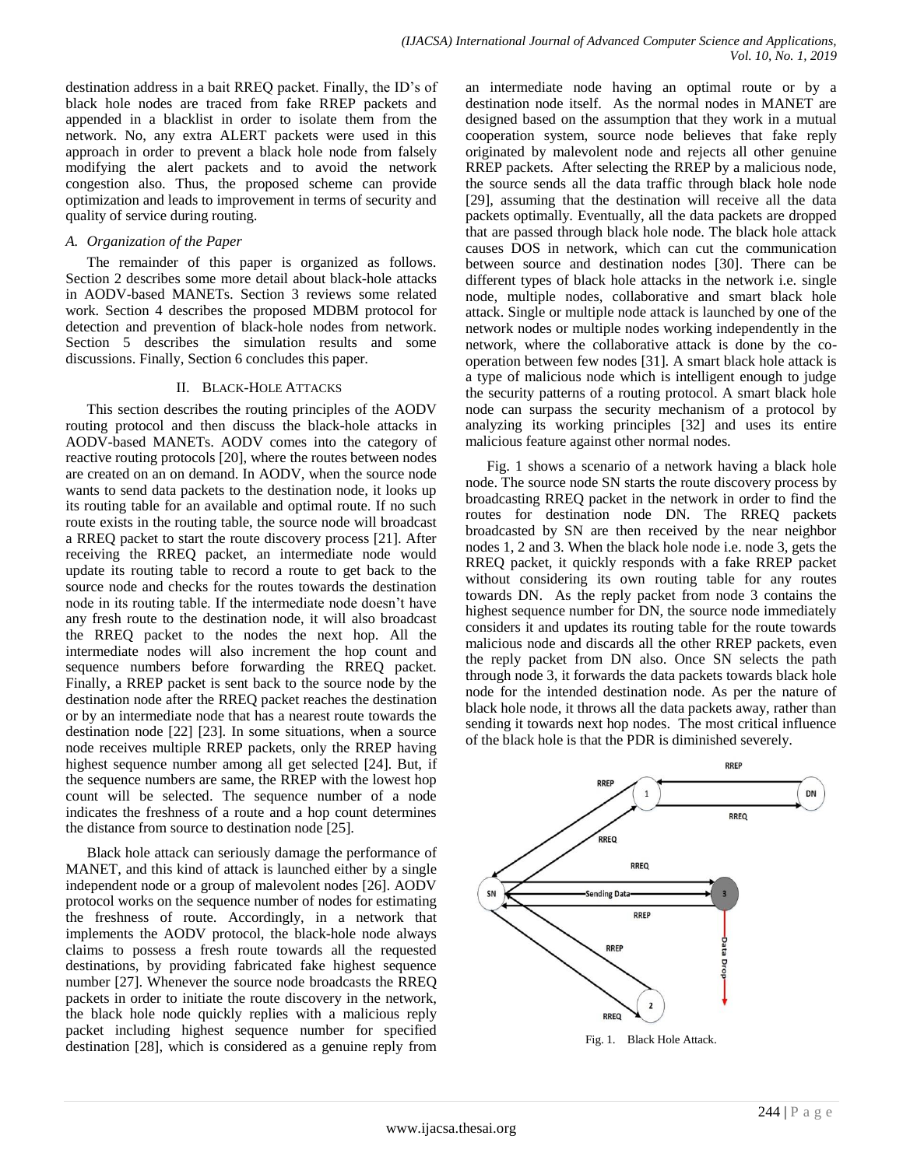destination address in a bait RREQ packet. Finally, the ID"s of black hole nodes are traced from fake RREP packets and appended in a blacklist in order to isolate them from the network. No, any extra ALERT packets were used in this approach in order to prevent a black hole node from falsely modifying the alert packets and to avoid the network congestion also. Thus, the proposed scheme can provide optimization and leads to improvement in terms of security and quality of service during routing.

### *A. Organization of the Paper*

The remainder of this paper is organized as follows. Section 2 describes some more detail about black-hole attacks in AODV-based MANETs. Section 3 reviews some related work. Section 4 describes the proposed MDBM protocol for detection and prevention of black-hole nodes from network. Section 5 describes the simulation results and some discussions. Finally, Section 6 concludes this paper.

#### II. BLACK-HOLE ATTACKS

This section describes the routing principles of the AODV routing protocol and then discuss the black-hole attacks in AODV-based MANETs. AODV comes into the category of reactive routing protocols [20], where the routes between nodes are created on an on demand. In AODV, when the source node wants to send data packets to the destination node, it looks up its routing table for an available and optimal route. If no such route exists in the routing table, the source node will broadcast a RREQ packet to start the route discovery process [21]. After receiving the RREQ packet, an intermediate node would update its routing table to record a route to get back to the source node and checks for the routes towards the destination node in its routing table. If the intermediate node doesn"t have any fresh route to the destination node, it will also broadcast the RREQ packet to the nodes the next hop. All the intermediate nodes will also increment the hop count and sequence numbers before forwarding the RREQ packet. Finally, a RREP packet is sent back to the source node by the destination node after the RREQ packet reaches the destination or by an intermediate node that has a nearest route towards the destination node [22] [23]. In some situations, when a source node receives multiple RREP packets, only the RREP having highest sequence number among all get selected [24]. But, if the sequence numbers are same, the RREP with the lowest hop count will be selected. The sequence number of a node indicates the freshness of a route and a hop count determines the distance from source to destination node [25].

Black hole attack can seriously damage the performance of MANET, and this kind of attack is launched either by a single independent node or a group of malevolent nodes [26]. AODV protocol works on the sequence number of nodes for estimating the freshness of route. Accordingly, in a network that implements the AODV protocol, the black-hole node always claims to possess a fresh route towards all the requested destinations, by providing fabricated fake highest sequence number [27]. Whenever the source node broadcasts the RREQ packets in order to initiate the route discovery in the network, the black hole node quickly replies with a malicious reply packet including highest sequence number for specified destination [28], which is considered as a genuine reply from

an intermediate node having an optimal route or by a destination node itself. As the normal nodes in MANET are designed based on the assumption that they work in a mutual cooperation system, source node believes that fake reply originated by malevolent node and rejects all other genuine RREP packets. After selecting the RREP by a malicious node, the source sends all the data traffic through black hole node [29], assuming that the destination will receive all the data packets optimally. Eventually, all the data packets are dropped that are passed through black hole node. The black hole attack causes DOS in network, which can cut the communication between source and destination nodes [30]. There can be different types of black hole attacks in the network i.e. single node, multiple nodes, collaborative and smart black hole attack. Single or multiple node attack is launched by one of the network nodes or multiple nodes working independently in the network, where the collaborative attack is done by the cooperation between few nodes [31]. A smart black hole attack is a type of malicious node which is intelligent enough to judge the security patterns of a routing protocol. A smart black hole node can surpass the security mechanism of a protocol by analyzing its working principles [32] and uses its entire malicious feature against other normal nodes.

Fig. 1 shows a scenario of a network having a black hole node. The source node SN starts the route discovery process by broadcasting RREQ packet in the network in order to find the routes for destination node DN. The RREQ packets broadcasted by SN are then received by the near neighbor nodes 1, 2 and 3. When the black hole node i.e. node 3, gets the RREQ packet, it quickly responds with a fake RREP packet without considering its own routing table for any routes towards DN. As the reply packet from node 3 contains the highest sequence number for DN, the source node immediately considers it and updates its routing table for the route towards malicious node and discards all the other RREP packets, even the reply packet from DN also. Once SN selects the path through node 3, it forwards the data packets towards black hole node for the intended destination node. As per the nature of black hole node, it throws all the data packets away, rather than sending it towards next hop nodes. The most critical influence of the black hole is that the PDR is diminished severely.



Fig. 1. Black Hole Attack.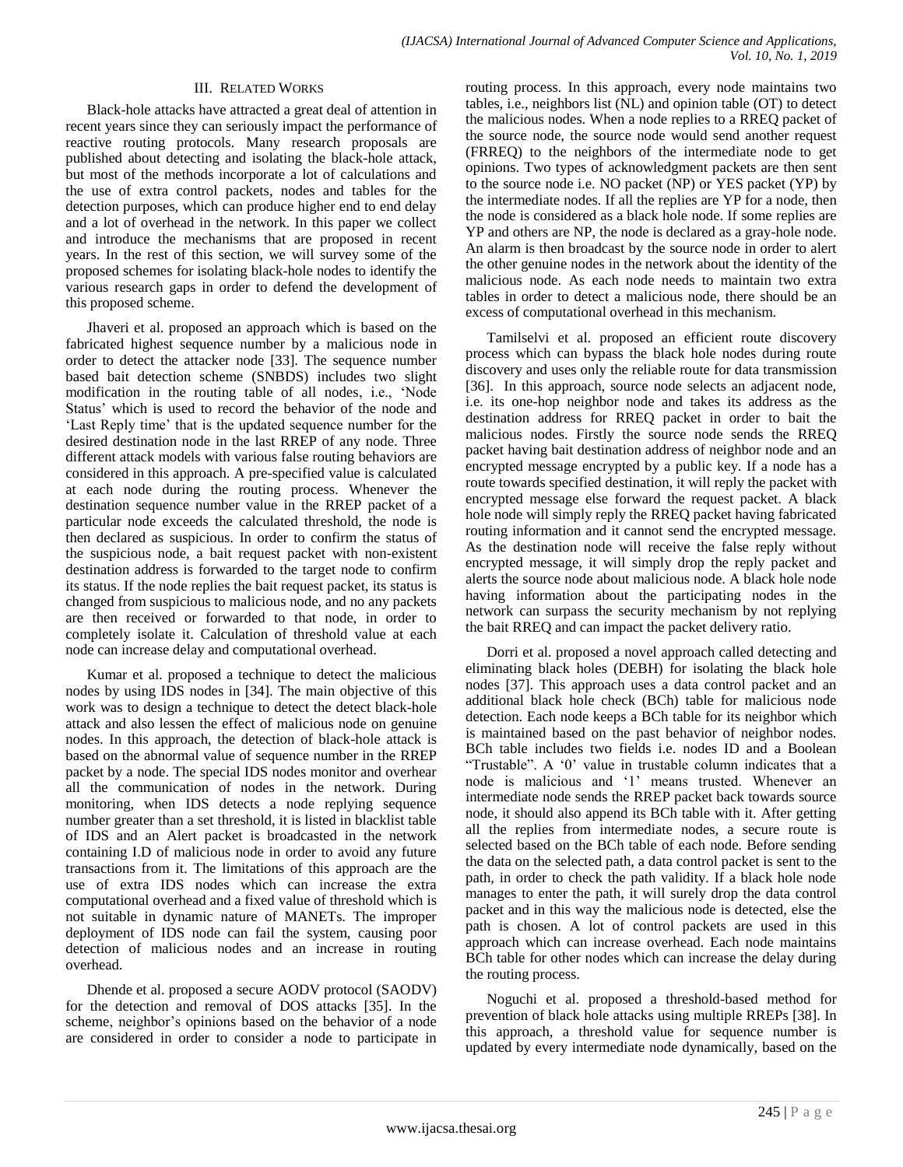## III. RELATED WORKS

Black-hole attacks have attracted a great deal of attention in recent years since they can seriously impact the performance of reactive routing protocols. Many research proposals are published about detecting and isolating the black-hole attack, but most of the methods incorporate a lot of calculations and the use of extra control packets, nodes and tables for the detection purposes, which can produce higher end to end delay and a lot of overhead in the network. In this paper we collect and introduce the mechanisms that are proposed in recent years. In the rest of this section, we will survey some of the proposed schemes for isolating black-hole nodes to identify the various research gaps in order to defend the development of this proposed scheme.

Jhaveri et al. proposed an approach which is based on the fabricated highest sequence number by a malicious node in order to detect the attacker node [33]. The sequence number based bait detection scheme (SNBDS) includes two slight modification in the routing table of all nodes, i.e., "Node Status' which is used to record the behavior of the node and 'Last Reply time' that is the updated sequence number for the desired destination node in the last RREP of any node. Three different attack models with various false routing behaviors are considered in this approach. A pre-specified value is calculated at each node during the routing process. Whenever the destination sequence number value in the RREP packet of a particular node exceeds the calculated threshold, the node is then declared as suspicious. In order to confirm the status of the suspicious node, a bait request packet with non-existent destination address is forwarded to the target node to confirm its status. If the node replies the bait request packet, its status is changed from suspicious to malicious node, and no any packets are then received or forwarded to that node, in order to completely isolate it. Calculation of threshold value at each node can increase delay and computational overhead.

Kumar et al. proposed a technique to detect the malicious nodes by using IDS nodes in [34]. The main objective of this work was to design a technique to detect the detect black-hole attack and also lessen the effect of malicious node on genuine nodes. In this approach, the detection of black-hole attack is based on the abnormal value of sequence number in the RREP packet by a node. The special IDS nodes monitor and overhear all the communication of nodes in the network. During monitoring, when IDS detects a node replying sequence number greater than a set threshold, it is listed in blacklist table of IDS and an Alert packet is broadcasted in the network containing I.D of malicious node in order to avoid any future transactions from it. The limitations of this approach are the use of extra IDS nodes which can increase the extra computational overhead and a fixed value of threshold which is not suitable in dynamic nature of MANETs. The improper deployment of IDS node can fail the system, causing poor detection of malicious nodes and an increase in routing overhead.

Dhende et al. proposed a secure AODV protocol (SAODV) for the detection and removal of DOS attacks [35]. In the scheme, neighbor"s opinions based on the behavior of a node are considered in order to consider a node to participate in routing process. In this approach, every node maintains two tables, i.e., neighbors list (NL) and opinion table (OT) to detect the malicious nodes. When a node replies to a RREQ packet of the source node, the source node would send another request (FRREQ) to the neighbors of the intermediate node to get opinions. Two types of acknowledgment packets are then sent to the source node i.e. NO packet (NP) or YES packet (YP) by the intermediate nodes. If all the replies are YP for a node, then the node is considered as a black hole node. If some replies are YP and others are NP, the node is declared as a gray-hole node. An alarm is then broadcast by the source node in order to alert the other genuine nodes in the network about the identity of the malicious node. As each node needs to maintain two extra tables in order to detect a malicious node, there should be an excess of computational overhead in this mechanism.

Tamilselvi et al. proposed an efficient route discovery process which can bypass the black hole nodes during route discovery and uses only the reliable route for data transmission [36]. In this approach, source node selects an adjacent node, i.e. its one-hop neighbor node and takes its address as the destination address for RREQ packet in order to bait the malicious nodes. Firstly the source node sends the RREQ packet having bait destination address of neighbor node and an encrypted message encrypted by a public key. If a node has a route towards specified destination, it will reply the packet with encrypted message else forward the request packet. A black hole node will simply reply the RREQ packet having fabricated routing information and it cannot send the encrypted message. As the destination node will receive the false reply without encrypted message, it will simply drop the reply packet and alerts the source node about malicious node. A black hole node having information about the participating nodes in the network can surpass the security mechanism by not replying the bait RREQ and can impact the packet delivery ratio.

Dorri et al. proposed a novel approach called detecting and eliminating black holes (DEBH) for isolating the black hole nodes [37]. This approach uses a data control packet and an additional black hole check (BCh) table for malicious node detection. Each node keeps a BCh table for its neighbor which is maintained based on the past behavior of neighbor nodes. BCh table includes two fields i.e. nodes ID and a Boolean "Trustable". A "0" value in trustable column indicates that a node is malicious and "1" means trusted. Whenever an intermediate node sends the RREP packet back towards source node, it should also append its BCh table with it. After getting all the replies from intermediate nodes, a secure route is selected based on the BCh table of each node. Before sending the data on the selected path, a data control packet is sent to the path, in order to check the path validity. If a black hole node manages to enter the path, it will surely drop the data control packet and in this way the malicious node is detected, else the path is chosen. A lot of control packets are used in this approach which can increase overhead. Each node maintains BCh table for other nodes which can increase the delay during the routing process.

Noguchi et al. proposed a threshold-based method for prevention of black hole attacks using multiple RREPs [38]. In this approach, a threshold value for sequence number is updated by every intermediate node dynamically, based on the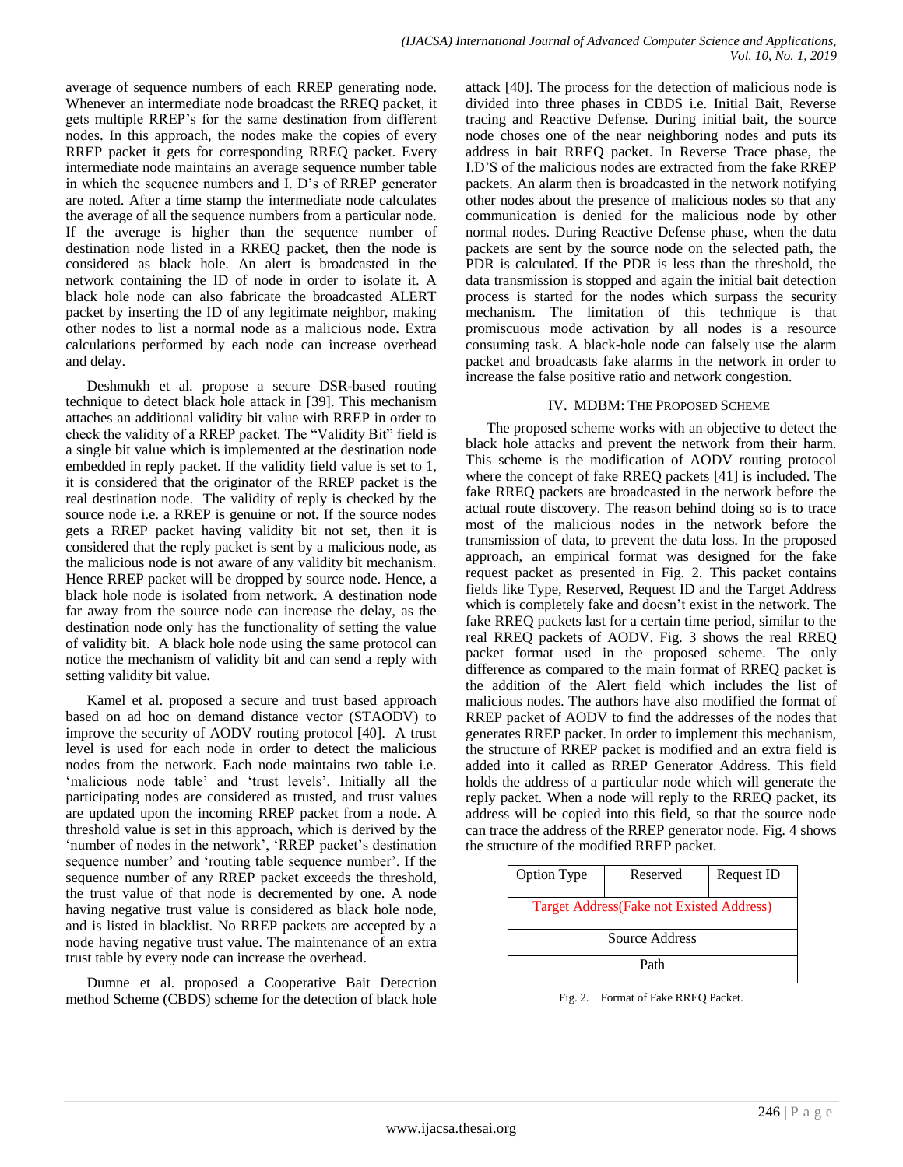average of sequence numbers of each RREP generating node. Whenever an intermediate node broadcast the RREQ packet, it gets multiple RREP"s for the same destination from different nodes. In this approach, the nodes make the copies of every RREP packet it gets for corresponding RREQ packet. Every intermediate node maintains an average sequence number table in which the sequence numbers and I. D"s of RREP generator are noted. After a time stamp the intermediate node calculates the average of all the sequence numbers from a particular node. If the average is higher than the sequence number of destination node listed in a RREQ packet, then the node is considered as black hole. An alert is broadcasted in the network containing the ID of node in order to isolate it. A black hole node can also fabricate the broadcasted ALERT packet by inserting the ID of any legitimate neighbor, making other nodes to list a normal node as a malicious node. Extra calculations performed by each node can increase overhead and delay.

Deshmukh et al. propose a secure DSR-based routing technique to detect black hole attack in [39]. This mechanism attaches an additional validity bit value with RREP in order to check the validity of a RREP packet. The "Validity Bit" field is a single bit value which is implemented at the destination node embedded in reply packet. If the validity field value is set to 1, it is considered that the originator of the RREP packet is the real destination node. The validity of reply is checked by the source node i.e. a RREP is genuine or not. If the source nodes gets a RREP packet having validity bit not set, then it is considered that the reply packet is sent by a malicious node, as the malicious node is not aware of any validity bit mechanism. Hence RREP packet will be dropped by source node. Hence, a black hole node is isolated from network. A destination node far away from the source node can increase the delay, as the destination node only has the functionality of setting the value of validity bit. A black hole node using the same protocol can notice the mechanism of validity bit and can send a reply with setting validity bit value.

Kamel et al. proposed a secure and trust based approach based on ad hoc on demand distance vector (STAODV) to improve the security of AODV routing protocol [40]. A trust level is used for each node in order to detect the malicious nodes from the network. Each node maintains two table i.e. "malicious node table" and "trust levels". Initially all the participating nodes are considered as trusted, and trust values are updated upon the incoming RREP packet from a node. A threshold value is set in this approach, which is derived by the 'number of nodes in the network', 'RREP packet's destination sequence number' and 'routing table sequence number'. If the sequence number of any RREP packet exceeds the threshold, the trust value of that node is decremented by one. A node having negative trust value is considered as black hole node, and is listed in blacklist. No RREP packets are accepted by a node having negative trust value. The maintenance of an extra trust table by every node can increase the overhead.

Dumne et al. proposed a Cooperative Bait Detection method Scheme (CBDS) scheme for the detection of black hole attack [40]. The process for the detection of malicious node is divided into three phases in CBDS i.e. Initial Bait, Reverse tracing and Reactive Defense. During initial bait, the source node choses one of the near neighboring nodes and puts its address in bait RREQ packet. In Reverse Trace phase, the I.D"S of the malicious nodes are extracted from the fake RREP packets. An alarm then is broadcasted in the network notifying other nodes about the presence of malicious nodes so that any communication is denied for the malicious node by other normal nodes. During Reactive Defense phase, when the data packets are sent by the source node on the selected path, the PDR is calculated. If the PDR is less than the threshold, the data transmission is stopped and again the initial bait detection process is started for the nodes which surpass the security mechanism. The limitation of this technique is that promiscuous mode activation by all nodes is a resource consuming task. A black-hole node can falsely use the alarm packet and broadcasts fake alarms in the network in order to increase the false positive ratio and network congestion.

# IV. MDBM: THE PROPOSED SCHEME

The proposed scheme works with an objective to detect the black hole attacks and prevent the network from their harm. This scheme is the modification of AODV routing protocol where the concept of fake RREQ packets [41] is included. The fake RREQ packets are broadcasted in the network before the actual route discovery. The reason behind doing so is to trace most of the malicious nodes in the network before the transmission of data, to prevent the data loss. In the proposed approach, an empirical format was designed for the fake request packet as presented in Fig. 2. This packet contains fields like Type, Reserved, Request ID and the Target Address which is completely fake and doesn"t exist in the network. The fake RREQ packets last for a certain time period, similar to the real RREQ packets of AODV. Fig. 3 shows the real RREQ packet format used in the proposed scheme. The only difference as compared to the main format of RREQ packet is the addition of the Alert field which includes the list of malicious nodes. The authors have also modified the format of RREP packet of AODV to find the addresses of the nodes that generates RREP packet. In order to implement this mechanism, the structure of RREP packet is modified and an extra field is added into it called as RREP Generator Address. This field holds the address of a particular node which will generate the reply packet. When a node will reply to the RREQ packet, its address will be copied into this field, so that the source node can trace the address of the RREP generator node. Fig. 4 shows the structure of the modified RREP packet.

| Option Type                                      | Reserved | Request ID |
|--------------------------------------------------|----------|------------|
| <b>Target Address</b> (Fake not Existed Address) |          |            |
| Source Address                                   |          |            |
| Path                                             |          |            |

Fig. 2. Format of Fake RREQ Packet.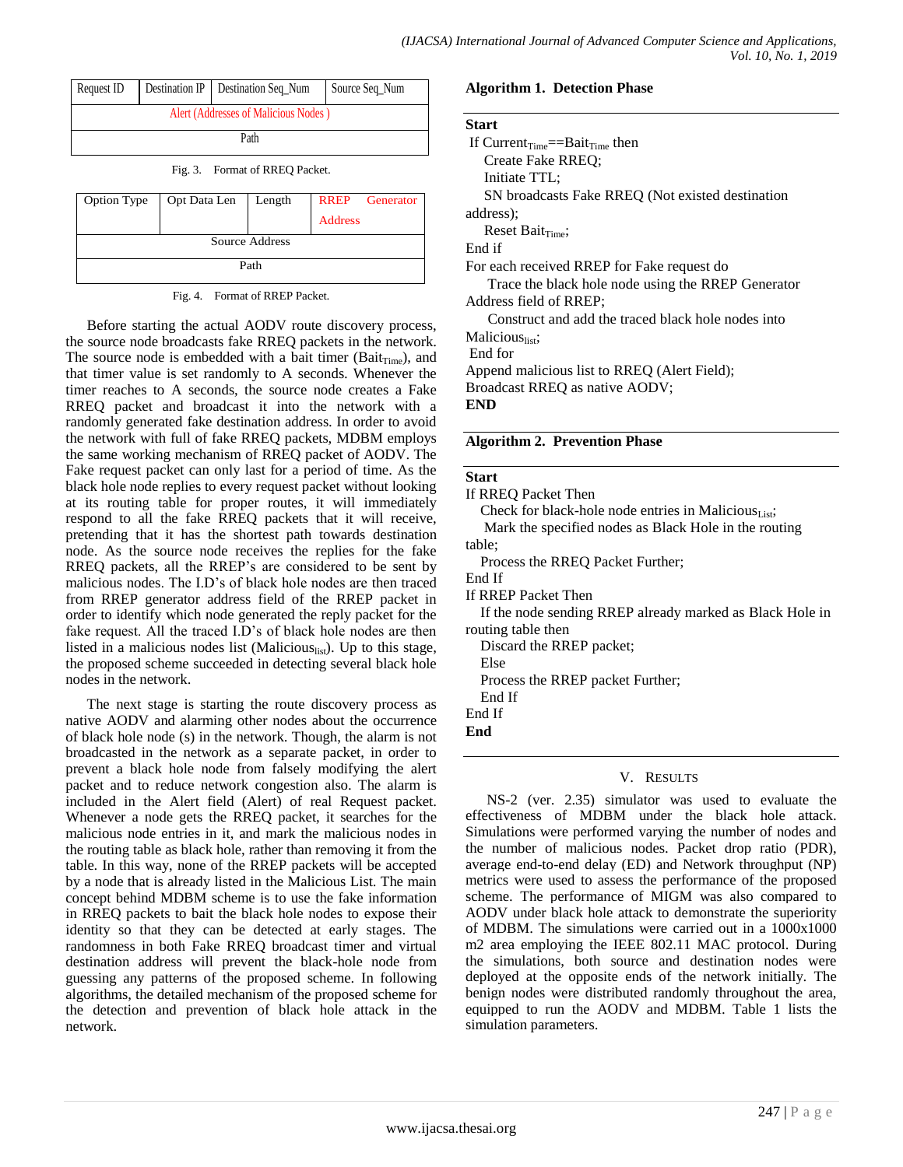| Request ID                           |  | Destination IP   Destination Seq Num | Source Seq Num |
|--------------------------------------|--|--------------------------------------|----------------|
| Alert (Addresses of Malicious Nodes) |  |                                      |                |
| Path                                 |  |                                      |                |

Fig. 3. Format of RREQ Packet.

| Option Type    | Opt Data Len   Length |  | <b>Address</b> | <b>RREP</b> Generator |
|----------------|-----------------------|--|----------------|-----------------------|
| Source Address |                       |  |                |                       |
| Path           |                       |  |                |                       |

Fig. 4. Format of RREP Packet.

Before starting the actual AODV route discovery process, the source node broadcasts fake RREQ packets in the network. The source node is embedded with a bait timer (Bait $_{Time}$ ), and that timer value is set randomly to A seconds. Whenever the timer reaches to A seconds, the source node creates a Fake RREQ packet and broadcast it into the network with a randomly generated fake destination address. In order to avoid the network with full of fake RREQ packets, MDBM employs the same working mechanism of RREQ packet of AODV. The Fake request packet can only last for a period of time. As the black hole node replies to every request packet without looking at its routing table for proper routes, it will immediately respond to all the fake RREQ packets that it will receive, pretending that it has the shortest path towards destination node. As the source node receives the replies for the fake RREQ packets, all the RREP"s are considered to be sent by malicious nodes. The I.D"s of black hole nodes are then traced from RREP generator address field of the RREP packet in order to identify which node generated the reply packet for the fake request. All the traced I.D's of black hole nodes are then listed in a malicious nodes list (Malicious<sub>list</sub>). Up to this stage, the proposed scheme succeeded in detecting several black hole nodes in the network.

The next stage is starting the route discovery process as native AODV and alarming other nodes about the occurrence of black hole node (s) in the network. Though, the alarm is not broadcasted in the network as a separate packet, in order to prevent a black hole node from falsely modifying the alert packet and to reduce network congestion also. The alarm is included in the Alert field (Alert) of real Request packet. Whenever a node gets the RREQ packet, it searches for the malicious node entries in it, and mark the malicious nodes in the routing table as black hole, rather than removing it from the table. In this way, none of the RREP packets will be accepted by a node that is already listed in the Malicious List. The main concept behind MDBM scheme is to use the fake information in RREQ packets to bait the black hole nodes to expose their identity so that they can be detected at early stages. The randomness in both Fake RREQ broadcast timer and virtual destination address will prevent the black-hole node from guessing any patterns of the proposed scheme. In following algorithms, the detailed mechanism of the proposed scheme for the detection and prevention of black hole attack in the network.

# **Algorithm 1. Detection Phase**

| <b>Start</b>  |  |
|---------------|--|
| If $C$ urrant |  |

If  $Current_{Time} == Bait_{Time}$  then Create Fake RREQ; Initiate TTL; SN broadcasts Fake RREQ (Not existed destination address); Reset Bait<sub>Time</sub>; End if For each received RREP for Fake request do Trace the black hole node using the RREP Generator Address field of RREP; Construct and add the traced black hole nodes into Malicious<sub>list</sub>; End for Append malicious list to RREQ (Alert Field); Broadcast RREQ as native AODV; **END**

# **Algorithm 2. Prevention Phase**

#### **Start**

| If RREQ Packet Then                                        |
|------------------------------------------------------------|
| Check for black-hole node entries in Malicious $_{list}$ ; |
| Mark the specified nodes as Rlack Hole in the rou          |

 Mark the specified nodes as Black Hole in the routing table;

Process the RREQ Packet Further;

End If

If RREP Packet Then

 If the node sending RREP already marked as Black Hole in routing table then

Discard the RREP packet;

Else

Process the RREP packet Further;

End If

End If

**End** 

# V. RESULTS

NS-2 (ver. 2.35) simulator was used to evaluate the effectiveness of MDBM under the black hole attack. Simulations were performed varying the number of nodes and the number of malicious nodes. Packet drop ratio (PDR), average end-to-end delay (ED) and Network throughput (NP) metrics were used to assess the performance of the proposed scheme. The performance of MIGM was also compared to AODV under black hole attack to demonstrate the superiority of MDBM. The simulations were carried out in a 1000x1000 m2 area employing the IEEE 802.11 MAC protocol. During the simulations, both source and destination nodes were deployed at the opposite ends of the network initially. The benign nodes were distributed randomly throughout the area, equipped to run the AODV and MDBM. Table 1 lists the simulation parameters.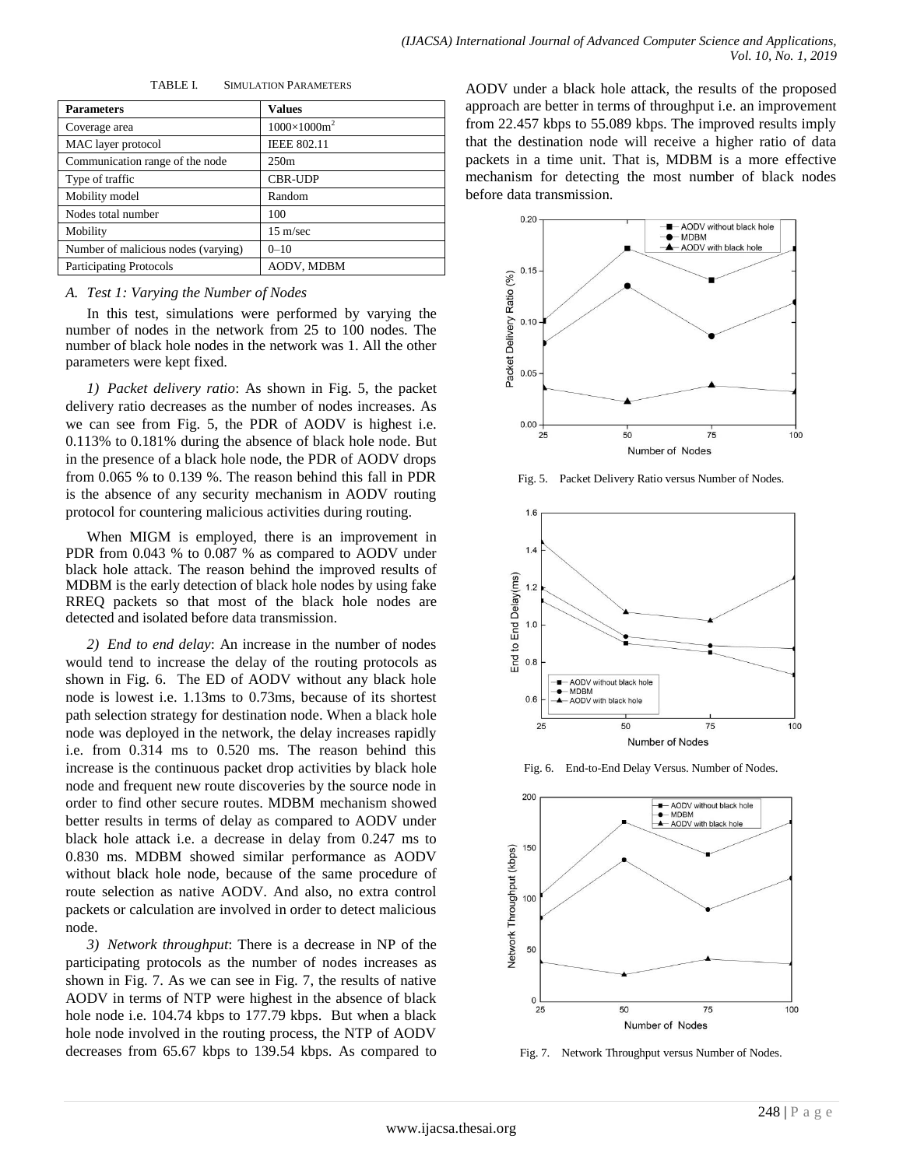| <b>Parameters</b>                   | <b>Values</b>       |
|-------------------------------------|---------------------|
| Coverage area                       | $1000\times1000m^2$ |
| MAC layer protocol                  | <b>IEEE 802.11</b>  |
| Communication range of the node     | 250m                |
| Type of traffic                     | <b>CBR-UDP</b>      |
| Mobility model                      | Random              |
| Nodes total number                  | 100                 |
| Mobility                            | $15 \text{ m/sec}$  |
| Number of malicious nodes (varying) | $0 - 10$            |
| <b>Participating Protocols</b>      | AODV, MDBM          |

TABLE I. SIMULATION PARAMETERS

# *A. Test 1: Varying the Number of Nodes*

In this test, simulations were performed by varying the number of nodes in the network from 25 to 100 nodes. The number of black hole nodes in the network was 1. All the other parameters were kept fixed.

*1) Packet delivery ratio*: As shown in Fig. 5, the packet delivery ratio decreases as the number of nodes increases. As we can see from Fig. 5, the PDR of AODV is highest i.e. 0.113% to 0.181% during the absence of black hole node. But in the presence of a black hole node, the PDR of AODV drops from 0.065 % to 0.139 %. The reason behind this fall in PDR is the absence of any security mechanism in AODV routing protocol for countering malicious activities during routing.

When MIGM is employed, there is an improvement in PDR from 0.043 % to 0.087 % as compared to AODV under black hole attack. The reason behind the improved results of MDBM is the early detection of black hole nodes by using fake RREQ packets so that most of the black hole nodes are detected and isolated before data transmission.

*2) End to end delay*: An increase in the number of nodes would tend to increase the delay of the routing protocols as shown in Fig. 6. The ED of AODV without any black hole node is lowest i.e. 1.13ms to 0.73ms, because of its shortest path selection strategy for destination node. When a black hole node was deployed in the network, the delay increases rapidly i.e. from 0.314 ms to 0.520 ms. The reason behind this increase is the continuous packet drop activities by black hole node and frequent new route discoveries by the source node in order to find other secure routes. MDBM mechanism showed better results in terms of delay as compared to AODV under black hole attack i.e. a decrease in delay from 0.247 ms to 0.830 ms. MDBM showed similar performance as AODV without black hole node, because of the same procedure of route selection as native AODV. And also, no extra control packets or calculation are involved in order to detect malicious node.

*3) Network throughput*: There is a decrease in NP of the participating protocols as the number of nodes increases as shown in Fig. 7. As we can see in Fig. 7, the results of native AODV in terms of NTP were highest in the absence of black hole node i.e. 104.74 kbps to 177.79 kbps. But when a black hole node involved in the routing process, the NTP of AODV decreases from 65.67 kbps to 139.54 kbps. As compared to

AODV under a black hole attack, the results of the proposed approach are better in terms of throughput i.e. an improvement from 22.457 kbps to 55.089 kbps. The improved results imply that the destination node will receive a higher ratio of data packets in a time unit. That is, MDBM is a more effective mechanism for detecting the most number of black nodes before data transmission.



Fig. 5. Packet Delivery Ratio versus Number of Nodes.







Fig. 7. Network Throughput versus Number of Nodes.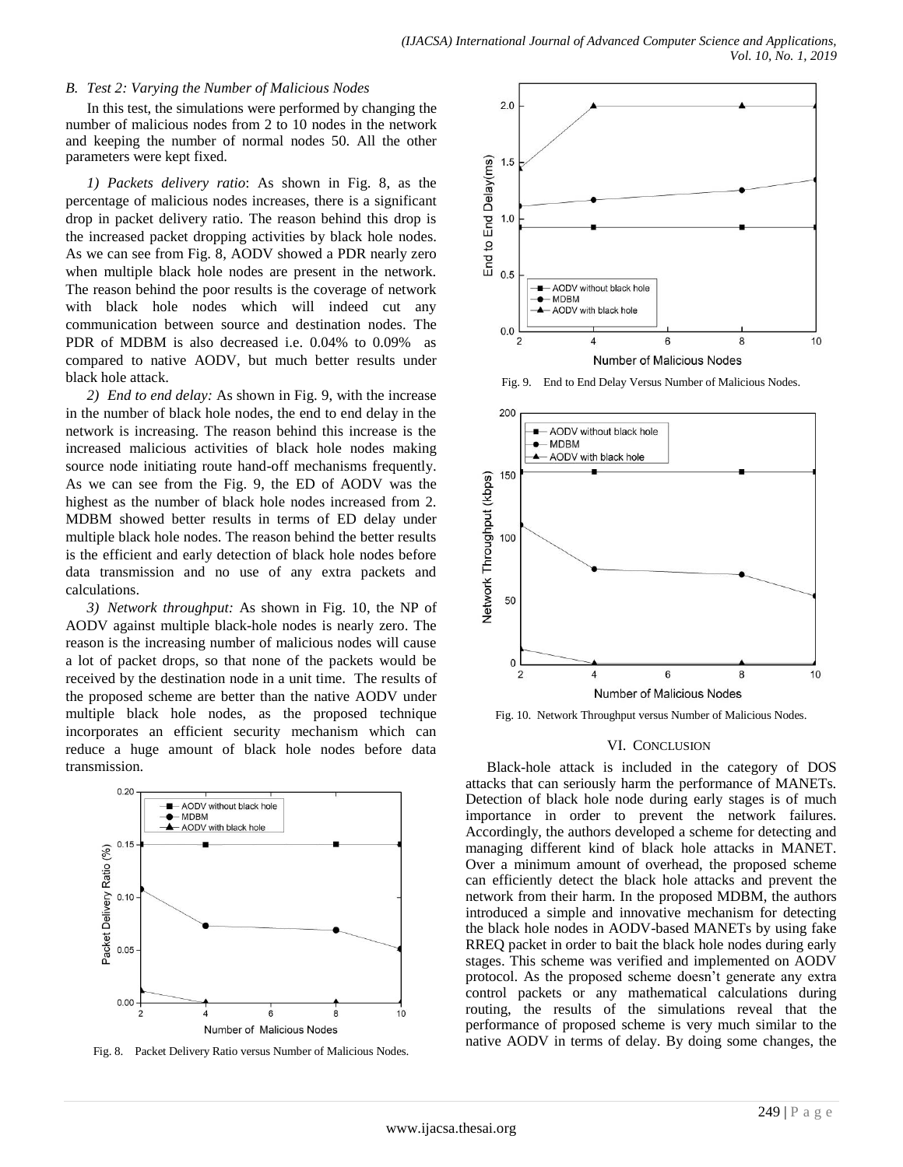## *B. Test 2: Varying the Number of Malicious Nodes*

In this test, the simulations were performed by changing the number of malicious nodes from 2 to 10 nodes in the network and keeping the number of normal nodes 50. All the other parameters were kept fixed.

*1) Packets delivery ratio*: As shown in Fig. 8, as the percentage of malicious nodes increases, there is a significant drop in packet delivery ratio. The reason behind this drop is the increased packet dropping activities by black hole nodes. As we can see from Fig. 8, AODV showed a PDR nearly zero when multiple black hole nodes are present in the network. The reason behind the poor results is the coverage of network with black hole nodes which will indeed cut any communication between source and destination nodes. The PDR of MDBM is also decreased i.e. 0.04% to 0.09% as compared to native AODV, but much better results under black hole attack.

*2) End to end delay:* As shown in Fig. 9, with the increase in the number of black hole nodes, the end to end delay in the network is increasing. The reason behind this increase is the increased malicious activities of black hole nodes making source node initiating route hand-off mechanisms frequently. As we can see from the Fig. 9, the ED of AODV was the highest as the number of black hole nodes increased from 2. MDBM showed better results in terms of ED delay under multiple black hole nodes. The reason behind the better results is the efficient and early detection of black hole nodes before data transmission and no use of any extra packets and calculations.

*3) Network throughput:* As shown in Fig. 10, the NP of AODV against multiple black-hole nodes is nearly zero. The reason is the increasing number of malicious nodes will cause a lot of packet drops, so that none of the packets would be received by the destination node in a unit time. The results of the proposed scheme are better than the native AODV under multiple black hole nodes, as the proposed technique incorporates an efficient security mechanism which can reduce a huge amount of black hole nodes before data transmission.



Fig. 8. Packet Delivery Ratio versus Number of Malicious Nodes.



Fig. 9. End to End Delay Versus Number of Malicious Nodes.



Fig. 10. Network Throughput versus Number of Malicious Nodes.

#### VI. CONCLUSION

Black-hole attack is included in the category of DOS attacks that can seriously harm the performance of MANETs. Detection of black hole node during early stages is of much importance in order to prevent the network failures. Accordingly, the authors developed a scheme for detecting and managing different kind of black hole attacks in MANET. Over a minimum amount of overhead, the proposed scheme can efficiently detect the black hole attacks and prevent the network from their harm. In the proposed MDBM, the authors introduced a simple and innovative mechanism for detecting the black hole nodes in AODV-based MANETs by using fake RREQ packet in order to bait the black hole nodes during early stages. This scheme was verified and implemented on AODV protocol. As the proposed scheme doesn"t generate any extra control packets or any mathematical calculations during routing, the results of the simulations reveal that the performance of proposed scheme is very much similar to the native AODV in terms of delay. By doing some changes, the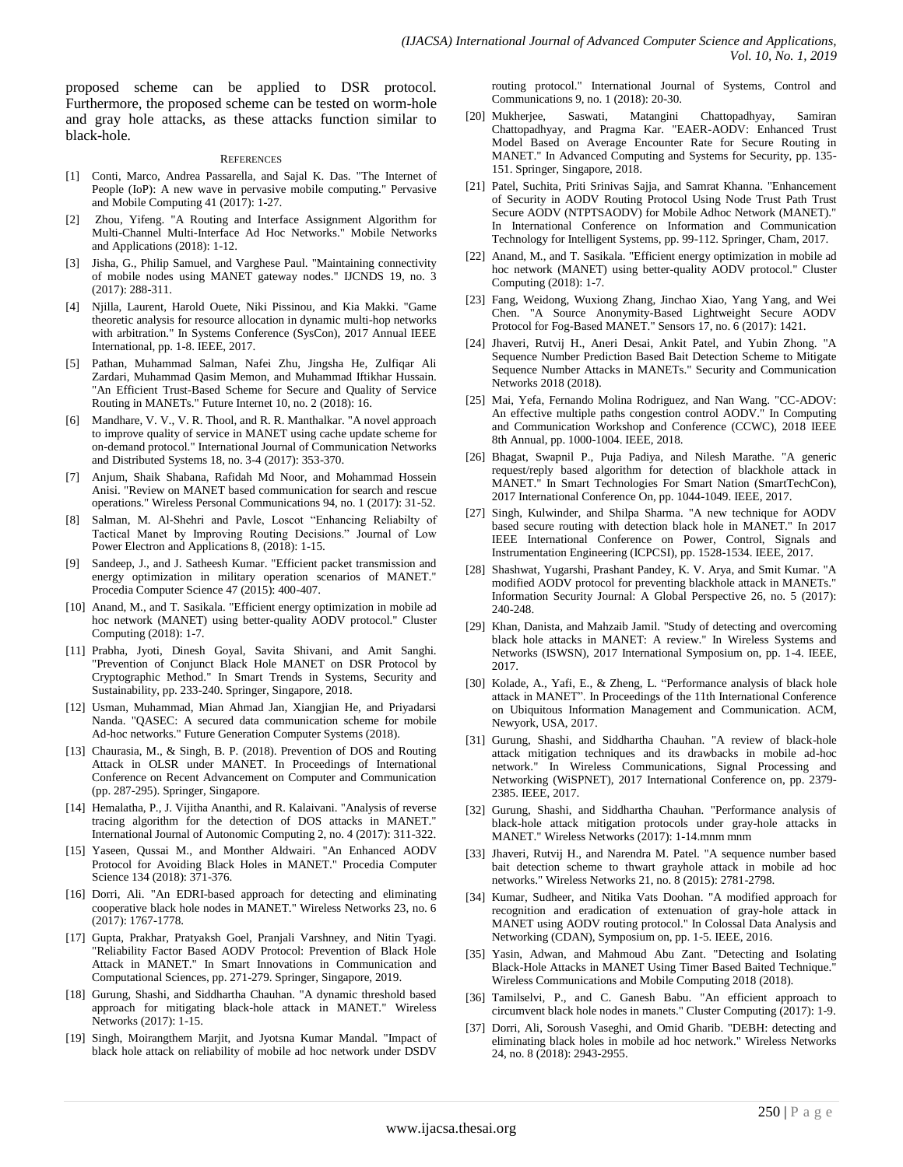proposed scheme can be applied to DSR protocol. Furthermore, the proposed scheme can be tested on worm-hole and gray hole attacks, as these attacks function similar to black-hole.

#### **REFERENCES**

- [1] Conti, Marco, Andrea Passarella, and Sajal K. Das. "The Internet of People (IoP): A new wave in pervasive mobile computing." Pervasive and Mobile Computing 41 (2017): 1-27.
- [2] Zhou, Yifeng. "A Routing and Interface Assignment Algorithm for Multi-Channel Multi-Interface Ad Hoc Networks." Mobile Networks and Applications (2018): 1-12.
- [3] Jisha, G., Philip Samuel, and Varghese Paul. "Maintaining connectivity of mobile nodes using MANET gateway nodes." IJCNDS 19, no. 3 (2017): 288-311.
- [4] Njilla, Laurent, Harold Ouete, Niki Pissinou, and Kia Makki. "Game theoretic analysis for resource allocation in dynamic multi-hop networks with arbitration." In Systems Conference (SysCon), 2017 Annual IEEE International, pp. 1-8. IEEE, 2017.
- [5] Pathan, Muhammad Salman, Nafei Zhu, Jingsha He, Zulfiqar Ali Zardari, Muhammad Qasim Memon, and Muhammad Iftikhar Hussain. "An Efficient Trust-Based Scheme for Secure and Quality of Service Routing in MANETs." Future Internet 10, no. 2 (2018): 16.
- [6] Mandhare, V. V., V. R. Thool, and R. R. Manthalkar. "A novel approach to improve quality of service in MANET using cache update scheme for on-demand protocol." International Journal of Communication Networks and Distributed Systems 18, no. 3-4 (2017): 353-370.
- [7] Anjum, Shaik Shabana, Rafidah Md Noor, and Mohammad Hossein Anisi. "Review on MANET based communication for search and rescue operations." Wireless Personal Communications 94, no. 1 (2017): 31-52.
- Salman, M. Al-Shehri and Pavle, Loscot "Enhancing Reliabilty of Tactical Manet by Improving Routing Decisions." Journal of Low Power Electron and Applications 8, (2018): 1-15.
- [9] Sandeep, J., and J. Satheesh Kumar. "Efficient packet transmission and energy optimization in military operation scenarios of MANET." Procedia Computer Science 47 (2015): 400-407.
- [10] Anand, M., and T. Sasikala. "Efficient energy optimization in mobile ad hoc network (MANET) using better-quality AODV protocol." Cluster Computing (2018): 1-7.
- [11] Prabha, Jyoti, Dinesh Goyal, Savita Shivani, and Amit Sanghi. "Prevention of Conjunct Black Hole MANET on DSR Protocol by Cryptographic Method." In Smart Trends in Systems, Security and Sustainability, pp. 233-240. Springer, Singapore, 2018.
- [12] Usman, Muhammad, Mian Ahmad Jan, Xiangjian He, and Priyadarsi Nanda. "QASEC: A secured data communication scheme for mobile Ad-hoc networks." Future Generation Computer Systems (2018).
- [13] Chaurasia, M., & Singh, B. P. (2018). Prevention of DOS and Routing Attack in OLSR under MANET. In Proceedings of International Conference on Recent Advancement on Computer and Communication (pp. 287-295). Springer, Singapore.
- [14] Hemalatha, P., J. Vijitha Ananthi, and R. Kalaivani. "Analysis of reverse tracing algorithm for the detection of DOS attacks in MANET." International Journal of Autonomic Computing 2, no. 4 (2017): 311-322.
- [15] Yaseen, Qussai M., and Monther Aldwairi. "An Enhanced AODV Protocol for Avoiding Black Holes in MANET." Procedia Computer Science 134 (2018): 371-376.
- [16] Dorri, Ali. "An EDRI-based approach for detecting and eliminating cooperative black hole nodes in MANET." Wireless Networks 23, no. 6 (2017): 1767-1778.
- [17] Gupta, Prakhar, Pratyaksh Goel, Pranjali Varshney, and Nitin Tyagi. "Reliability Factor Based AODV Protocol: Prevention of Black Hole Attack in MANET." In Smart Innovations in Communication and Computational Sciences, pp. 271-279. Springer, Singapore, 2019.
- [18] Gurung, Shashi, and Siddhartha Chauhan. "A dynamic threshold based approach for mitigating black-hole attack in MANET." Wireless Networks (2017): 1-15.
- [19] Singh, Moirangthem Marjit, and Jyotsna Kumar Mandal. "Impact of black hole attack on reliability of mobile ad hoc network under DSDV

routing protocol." International Journal of Systems, Control and Communications 9, no. 1 (2018): 20-30.

- [20] Mukherjee, Saswati, Matangini Chattopadhyay, Samiran Chattopadhyay, and Pragma Kar. "EAER-AODV: Enhanced Trust Model Based on Average Encounter Rate for Secure Routing in MANET." In Advanced Computing and Systems for Security, pp. 135- 151. Springer, Singapore, 2018.
- [21] Patel, Suchita, Priti Srinivas Sajja, and Samrat Khanna. "Enhancement of Security in AODV Routing Protocol Using Node Trust Path Trust Secure AODV (NTPTSAODV) for Mobile Adhoc Network (MANET)." In International Conference on Information and Communication Technology for Intelligent Systems, pp. 99-112. Springer, Cham, 2017.
- [22] Anand, M., and T. Sasikala. "Efficient energy optimization in mobile ad hoc network (MANET) using better-quality AODV protocol." Cluster Computing (2018): 1-7.
- [23] Fang, Weidong, Wuxiong Zhang, Jinchao Xiao, Yang Yang, and Wei Chen. "A Source Anonymity-Based Lightweight Secure AODV Protocol for Fog-Based MANET." Sensors 17, no. 6 (2017): 1421.
- [24] Jhaveri, Rutvij H., Aneri Desai, Ankit Patel, and Yubin Zhong. "A Sequence Number Prediction Based Bait Detection Scheme to Mitigate Sequence Number Attacks in MANETs." Security and Communication Networks 2018 (2018).
- [25] Mai, Yefa, Fernando Molina Rodriguez, and Nan Wang. "CC-ADOV: An effective multiple paths congestion control AODV." In Computing and Communication Workshop and Conference (CCWC), 2018 IEEE 8th Annual, pp. 1000-1004. IEEE, 2018.
- [26] Bhagat, Swapnil P., Puja Padiya, and Nilesh Marathe. "A generic request/reply based algorithm for detection of blackhole attack in MANET." In Smart Technologies For Smart Nation (SmartTechCon), 2017 International Conference On, pp. 1044-1049. IEEE, 2017.
- [27] Singh, Kulwinder, and Shilpa Sharma. "A new technique for AODV based secure routing with detection black hole in MANET." In 2017 IEEE International Conference on Power, Control, Signals and Instrumentation Engineering (ICPCSI), pp. 1528-1534. IEEE, 2017.
- [28] Shashwat, Yugarshi, Prashant Pandey, K. V. Arya, and Smit Kumar. "A modified AODV protocol for preventing blackhole attack in MANETs." Information Security Journal: A Global Perspective 26, no. 5 (2017): 240-248.
- [29] Khan, Danista, and Mahzaib Jamil. "Study of detecting and overcoming black hole attacks in MANET: A review." In Wireless Systems and Networks (ISWSN), 2017 International Symposium on, pp. 1-4. IEEE, 2017.
- [30] Kolade, A., Yafi, E., & Zheng, L. "Performance analysis of black hole attack in MANET". In Proceedings of the 11th International Conference on Ubiquitous Information Management and Communication. ACM, Newyork, USA, 2017.
- [31] Gurung, Shashi, and Siddhartha Chauhan. "A review of black-hole attack mitigation techniques and its drawbacks in mobile ad-hoc network." In Wireless Communications, Signal Processing and Networking (WiSPNET), 2017 International Conference on, pp. 2379- 2385. IEEE, 2017.
- [32] Gurung, Shashi, and Siddhartha Chauhan. "Performance analysis of black-hole attack mitigation protocols under gray-hole attacks in MANET." Wireless Networks (2017): 1-14.mnm mnm
- [33] Jhaveri, Rutvij H., and Narendra M. Patel. "A sequence number based bait detection scheme to thwart grayhole attack in mobile ad hoc networks." Wireless Networks 21, no. 8 (2015): 2781-2798.
- [34] Kumar, Sudheer, and Nitika Vats Doohan. "A modified approach for recognition and eradication of extenuation of gray-hole attack in MANET using AODV routing protocol." In Colossal Data Analysis and Networking (CDAN), Symposium on, pp. 1-5. IEEE, 2016.
- [35] Yasin, Adwan, and Mahmoud Abu Zant. "Detecting and Isolating Black-Hole Attacks in MANET Using Timer Based Baited Technique." Wireless Communications and Mobile Computing 2018 (2018).
- [36] Tamilselvi, P., and C. Ganesh Babu. "An efficient approach to circumvent black hole nodes in manets." Cluster Computing (2017): 1-9.
- [37] Dorri, Ali, Soroush Vaseghi, and Omid Gharib. "DEBH: detecting and eliminating black holes in mobile ad hoc network." Wireless Networks 24, no. 8 (2018): 2943-2955.